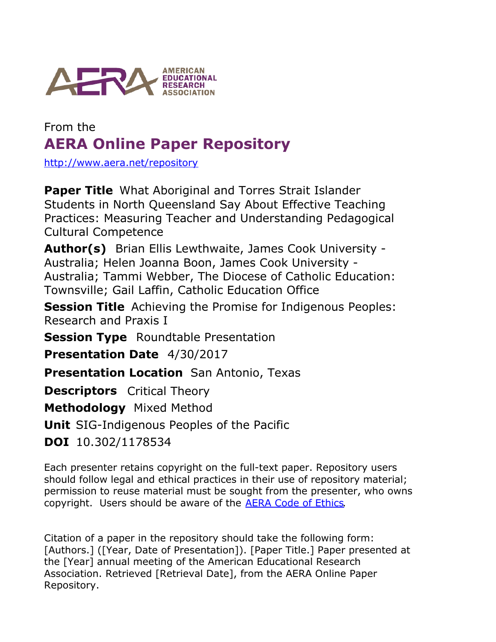

## From the **AERA Online Paper Repository**

<http://www.aera.net/repository>

**Paper Title** What Aboriginal and Torres Strait Islander Students in North Queensland Say About Effective Teaching Practices: Measuring Teacher and Understanding Pedagogical Cultural Competence

Author(s) Brian Ellis Lewthwaite, James Cook University -Australia; Helen Joanna Boon, James Cook University - Australia; Tammi Webber, The Diocese of Catholic Education: Townsville; Gail Laffin, Catholic Education Office

**Session Title** Achieving the Promise for Indigenous Peoples: Research and Praxis I

**Session Type** Roundtable Presentation

**Presentation Date** 4/30/2017

**Presentation Location** San Antonio, Texas

**Descriptors** Critical Theory

**Methodology** Mixed Method

**Unit** SIG-Indigenous Peoples of the Pacific

**DOI** 10.302/1178534

Each presenter retains copyright on the full-text paper. Repository users should follow legal and ethical practices in their use of repository material; permission to reuse material must be sought from the presenter, who owns copyright. Users should be aware of the **AERA Code of Ethics**.

Citation of a paper in the repository should take the following form: [Authors.] ([Year, Date of Presentation]). [Paper Title.] Paper presented at the [Year] annual meeting of the American Educational Research Association. Retrieved [Retrieval Date], from the AERA Online Paper Repository.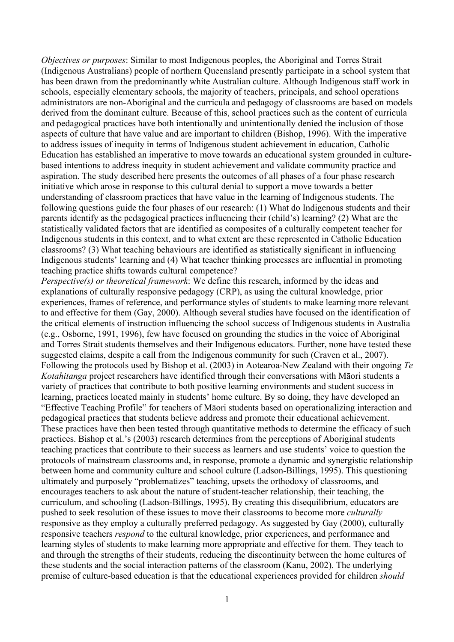*Objectives or purposes*: Similar to most Indigenous peoples, the Aboriginal and Torres Strait (Indigenous Australians) people of northern Queensland presently participate in a school system that has been drawn from the predominantly white Australian culture. Although Indigenous staff work in schools, especially elementary schools, the majority of teachers, principals, and school operations administrators are non-Aboriginal and the curricula and pedagogy of classrooms are based on models derived from the dominant culture. Because of this, school practices such as the content of curricula and pedagogical practices have both intentionally and unintentionally denied the inclusion of those aspects of culture that have value and are important to children (Bishop, 1996). With the imperative to address issues of inequity in terms of Indigenous student achievement in education, Catholic Education has established an imperative to move towards an educational system grounded in culturebased intentions to address inequity in student achievement and validate community practice and aspiration. The study described here presents the outcomes of all phases of a four phase research initiative which arose in response to this cultural denial to support a move towards a better understanding of classroom practices that have value in the learning of Indigenous students. The following questions guide the four phases of our research: (1) What do Indigenous students and their parents identify as the pedagogical practices influencing their (child's) learning? (2) What are the statistically validated factors that are identified as composites of a culturally competent teacher for Indigenous students in this context, and to what extent are these represented in Catholic Education classrooms? (3) What teaching behaviours are identified as statistically significant in influencing Indigenous students' learning and (4) What teacher thinking processes are influential in promoting teaching practice shifts towards cultural competence?

*Perspective(s) or theoretical framework*: We define this research, informed by the ideas and explanations of culturally responsive pedagogy (CRP), as using the cultural knowledge, prior experiences, frames of reference, and performance styles of students to make learning more relevant to and effective for them (Gay, 2000). Although several studies have focused on the identification of the critical elements of instruction influencing the school success of Indigenous students in Australia (e.g., Osborne, 1991, 1996), few have focused on grounding the studies in the voice of Aboriginal and Torres Strait students themselves and their Indigenous educators. Further, none have tested these suggested claims, despite a call from the Indigenous community for such (Craven et al., 2007). Following the protocols used by Bishop et al. (2003) in Aotearoa-New Zealand with their ongoing *Te Kotahitanga* project researchers have identified through their conversations with Māori students a variety of practices that contribute to both positive learning environments and student success in learning, practices located mainly in students' home culture. By so doing, they have developed an "Effective Teaching Profile" for teachers of Māori students based on operationalizing interaction and pedagogical practices that students believe address and promote their educational achievement. These practices have then been tested through quantitative methods to determine the efficacy of such practices. Bishop et al.'s (2003) research determines from the perceptions of Aboriginal students teaching practices that contribute to their success as learners and use students' voice to question the protocols of mainstream classrooms and, in response, promote a dynamic and synergistic relationship between home and community culture and school culture (Ladson-Billings, 1995). This questioning ultimately and purposely "problematizes" teaching, upsets the orthodoxy of classrooms, and encourages teachers to ask about the nature of student-teacher relationship, their teaching, the curriculum, and schooling (Ladson-Billings, 1995). By creating this disequilibrium, educators are pushed to seek resolution of these issues to move their classrooms to become more *culturally* responsive as they employ a culturally preferred pedagogy. As suggested by Gay (2000), culturally responsive teachers *respond* to the cultural knowledge, prior experiences, and performance and learning styles of students to make learning more appropriate and effective for them. They teach to and through the strengths of their students, reducing the discontinuity between the home cultures of these students and the social interaction patterns of the classroom (Kanu, 2002). The underlying premise of culture-based education is that the educational experiences provided for children *should*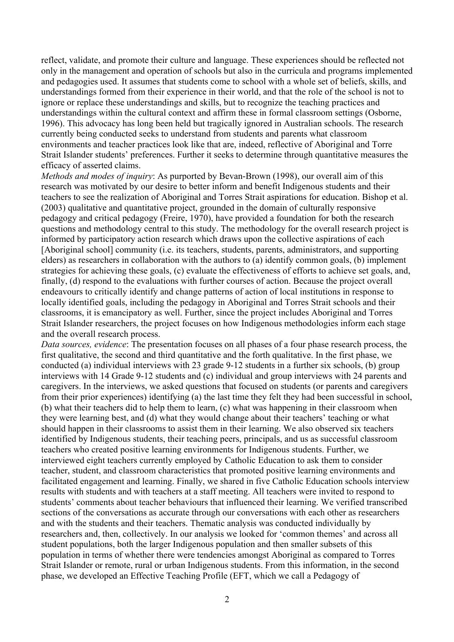reflect, validate, and promote their culture and language. These experiences should be reflected not only in the management and operation of schools but also in the curricula and programs implemented and pedagogies used. It assumes that students come to school with a whole set of beliefs, skills, and understandings formed from their experience in their world, and that the role of the school is not to ignore or replace these understandings and skills, but to recognize the teaching practices and understandings within the cultural context and affirm these in formal classroom settings (Osborne, 1996). This advocacy has long been held but tragically ignored in Australian schools. The research currently being conducted seeks to understand from students and parents what classroom environments and teacher practices look like that are, indeed, reflective of Aboriginal and Torre Strait Islander students' preferences. Further it seeks to determine through quantitative measures the efficacy of asserted claims.

*Methods and modes of inquiry*: As purported by Bevan-Brown (1998), our overall aim of this research was motivated by our desire to better inform and benefit Indigenous students and their teachers to see the realization of Aboriginal and Torres Strait aspirations for education. Bishop et al. (2003) qualitative and quantitative project, grounded in the domain of culturally responsive pedagogy and critical pedagogy (Freire, 1970), have provided a foundation for both the research questions and methodology central to this study. The methodology for the overall research project is informed by participatory action research which draws upon the collective aspirations of each [Aboriginal school] community (i.e. its teachers, students, parents, administrators, and supporting elders) as researchers in collaboration with the authors to (a) identify common goals, (b) implement strategies for achieving these goals, (c) evaluate the effectiveness of efforts to achieve set goals, and, finally, (d) respond to the evaluations with further courses of action. Because the project overall endeavours to critically identify and change patterns of action of local institutions in response to locally identified goals, including the pedagogy in Aboriginal and Torres Strait schools and their classrooms, it is emancipatory as well. Further, since the project includes Aboriginal and Torres Strait Islander researchers, the project focuses on how Indigenous methodologies inform each stage and the overall research process.

*Data sources, evidence*: The presentation focuses on all phases of a four phase research process, the first qualitative, the second and third quantitative and the forth qualitative. In the first phase, we conducted (a) individual interviews with 23 grade 9-12 students in a further six schools, (b) group interviews with 14 Grade 9-12 students and (c) individual and group interviews with 24 parents and caregivers. In the interviews, we asked questions that focused on students (or parents and caregivers from their prior experiences) identifying (a) the last time they felt they had been successful in school, (b) what their teachers did to help them to learn, (c) what was happening in their classroom when they were learning best, and (d) what they would change about their teachers' teaching or what should happen in their classrooms to assist them in their learning. We also observed six teachers identified by Indigenous students, their teaching peers, principals, and us as successful classroom teachers who created positive learning environments for Indigenous students. Further, we interviewed eight teachers currently employed by Catholic Education to ask them to consider teacher, student, and classroom characteristics that promoted positive learning environments and facilitated engagement and learning. Finally, we shared in five Catholic Education schools interview results with students and with teachers at a staff meeting. All teachers were invited to respond to students' comments about teacher behaviours that influenced their learning. We verified transcribed sections of the conversations as accurate through our conversations with each other as researchers and with the students and their teachers. Thematic analysis was conducted individually by researchers and, then, collectively. In our analysis we looked for 'common themes' and across all student populations, both the larger Indigenous population and then smaller subsets of this population in terms of whether there were tendencies amongst Aboriginal as compared to Torres Strait Islander or remote, rural or urban Indigenous students. From this information, in the second phase, we developed an Effective Teaching Profile (EFT, which we call a Pedagogy of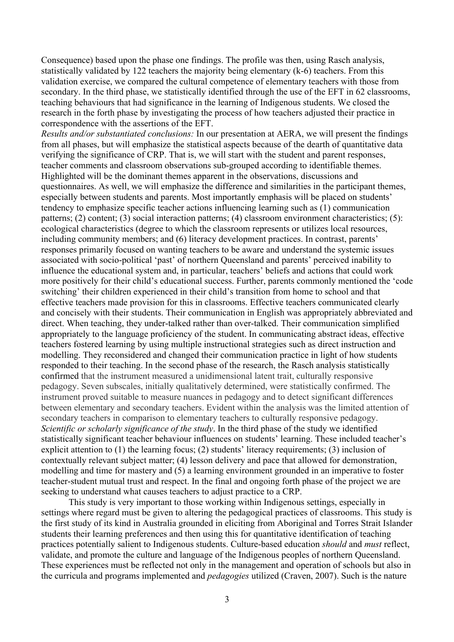Consequence) based upon the phase one findings. The profile was then, using Rasch analysis, statistically validated by 122 teachers the majority being elementary (k-6) teachers. From this validation exercise, we compared the cultural competence of elementary teachers with those from secondary. In the third phase, we statistically identified through the use of the EFT in 62 classrooms, teaching behaviours that had significance in the learning of Indigenous students. We closed the research in the forth phase by investigating the process of how teachers adjusted their practice in correspondence with the assertions of the EFT.

*Results and/or substantiated conclusions:* In our presentation at AERA, we will present the findings from all phases, but will emphasize the statistical aspects because of the dearth of quantitative data verifying the significance of CRP. That is, we will start with the student and parent responses, teacher comments and classroom observations sub-grouped according to identifiable themes. Highlighted will be the dominant themes apparent in the observations, discussions and questionnaires. As well, we will emphasize the difference and similarities in the participant themes, especially between students and parents. Most importantly emphasis will be placed on students' tendency to emphasize specific teacher actions influencing learning such as (1) communication patterns; (2) content; (3) social interaction patterns; (4) classroom environment characteristics; (5): ecological characteristics (degree to which the classroom represents or utilizes local resources, including community members; and (6) literacy development practices. In contrast, parents' responses primarily focused on wanting teachers to be aware and understand the systemic issues associated with socio-political 'past' of northern Queensland and parents' perceived inability to influence the educational system and, in particular, teachers' beliefs and actions that could work more positively for their child's educational success. Further, parents commonly mentioned the 'code switching' their children experienced in their child's transition from home to school and that effective teachers made provision for this in classrooms. Effective teachers communicated clearly and concisely with their students. Their communication in English was appropriately abbreviated and direct. When teaching, they under-talked rather than over-talked. Their communication simplified appropriately to the language proficiency of the student. In communicating abstract ideas, effective teachers fostered learning by using multiple instructional strategies such as direct instruction and modelling. They reconsidered and changed their communication practice in light of how students responded to their teaching. In the second phase of the research, the Rasch analysis statistically confirmed that the instrument measured a unidimensional latent trait, culturally responsive pedagogy. Seven subscales, initially qualitatively determined, were statistically confirmed. The instrument proved suitable to measure nuances in pedagogy and to detect significant differences between elementary and secondary teachers. Evident within the analysis was the limited attention of secondary teachers in comparison to elementary teachers to culturally responsive pedagogy. *Scientific or scholarly significance of the study*. In the third phase of the study we identified statistically significant teacher behaviour influences on students' learning. These included teacher's explicit attention to (1) the learning focus; (2) students' literacy requirements; (3) inclusion of contextually relevant subject matter; (4) lesson delivery and pace that allowed for demonstration, modelling and time for mastery and (5) a learning environment grounded in an imperative to foster teacher-student mutual trust and respect. In the final and ongoing forth phase of the project we are seeking to understand what causes teachers to adjust practice to a CRP.

This study is very important to those working within Indigenous settings, especially in settings where regard must be given to altering the pedagogical practices of classrooms. This study is the first study of its kind in Australia grounded in eliciting from Aboriginal and Torres Strait Islander students their learning preferences and then using this for quantitative identification of teaching practices potentially salient to Indigenous students. Culture-based education *should* and *must* reflect, validate, and promote the culture and language of the Indigenous peoples of northern Queensland. These experiences must be reflected not only in the management and operation of schools but also in the curricula and programs implemented and *pedagogies* utilized (Craven, 2007). Such is the nature